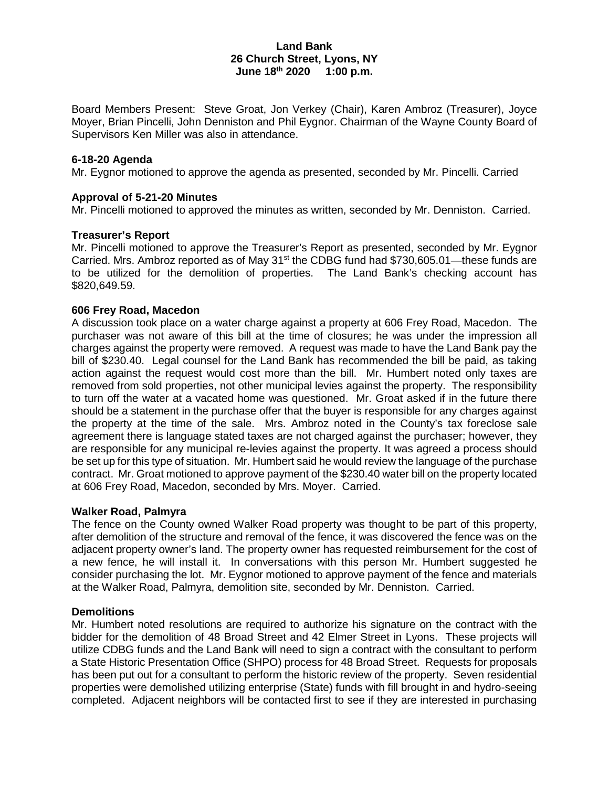### **Land Bank 26 Church Street, Lyons, NY June 18th 2020 1:00 p.m.**

Board Members Present: Steve Groat, Jon Verkey (Chair), Karen Ambroz (Treasurer), Joyce Moyer, Brian Pincelli, John Denniston and Phil Eygnor. Chairman of the Wayne County Board of Supervisors Ken Miller was also in attendance.

#### **6-18-20 Agenda**

Mr. Eygnor motioned to approve the agenda as presented, seconded by Mr. Pincelli. Carried

#### **Approval of 5-21-20 Minutes**

Mr. Pincelli motioned to approved the minutes as written, seconded by Mr. Denniston. Carried.

#### **Treasurer's Report**

Mr. Pincelli motioned to approve the Treasurer's Report as presented, seconded by Mr. Eygnor Carried. Mrs. Ambroz reported as of May  $31<sup>st</sup>$  the CDBG fund had \$730,605.01—these funds are to be utilized for the demolition of properties. The Land Bank's checking account has \$820,649.59.

## **606 Frey Road, Macedon**

A discussion took place on a water charge against a property at 606 Frey Road, Macedon. The purchaser was not aware of this bill at the time of closures; he was under the impression all charges against the property were removed. A request was made to have the Land Bank pay the bill of \$230.40. Legal counsel for the Land Bank has recommended the bill be paid, as taking action against the request would cost more than the bill. Mr. Humbert noted only taxes are removed from sold properties, not other municipal levies against the property. The responsibility to turn off the water at a vacated home was questioned. Mr. Groat asked if in the future there should be a statement in the purchase offer that the buyer is responsible for any charges against the property at the time of the sale. Mrs. Ambroz noted in the County's tax foreclose sale agreement there is language stated taxes are not charged against the purchaser; however, they are responsible for any municipal re-levies against the property. It was agreed a process should be set up for this type of situation. Mr. Humbert said he would review the language of the purchase contract. Mr. Groat motioned to approve payment of the \$230.40 water bill on the property located at 606 Frey Road, Macedon, seconded by Mrs. Moyer. Carried.

#### **Walker Road, Palmyra**

The fence on the County owned Walker Road property was thought to be part of this property, after demolition of the structure and removal of the fence, it was discovered the fence was on the adjacent property owner's land. The property owner has requested reimbursement for the cost of a new fence, he will install it. In conversations with this person Mr. Humbert suggested he consider purchasing the lot. Mr. Eygnor motioned to approve payment of the fence and materials at the Walker Road, Palmyra, demolition site, seconded by Mr. Denniston. Carried.

#### **Demolitions**

Mr. Humbert noted resolutions are required to authorize his signature on the contract with the bidder for the demolition of 48 Broad Street and 42 Elmer Street in Lyons. These projects will utilize CDBG funds and the Land Bank will need to sign a contract with the consultant to perform a State Historic Presentation Office (SHPO) process for 48 Broad Street. Requests for proposals has been put out for a consultant to perform the historic review of the property. Seven residential properties were demolished utilizing enterprise (State) funds with fill brought in and hydro-seeing completed. Adjacent neighbors will be contacted first to see if they are interested in purchasing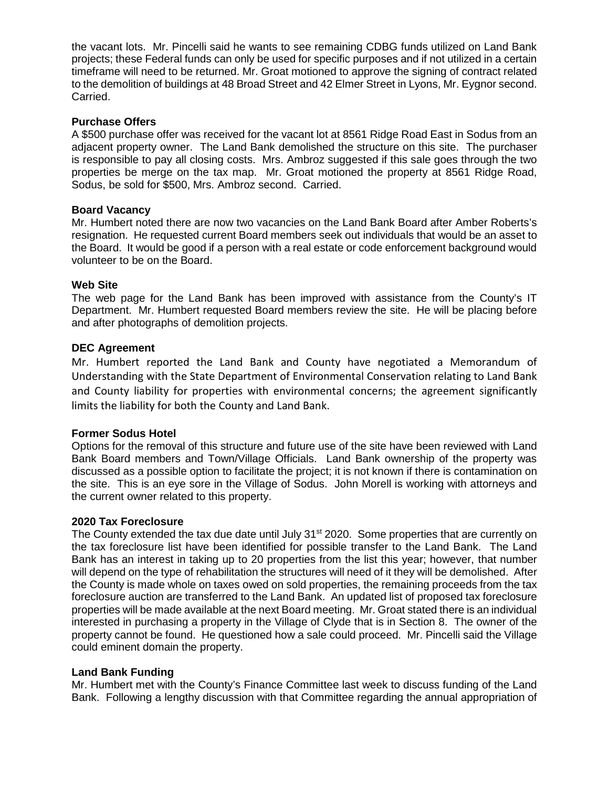the vacant lots. Mr. Pincelli said he wants to see remaining CDBG funds utilized on Land Bank projects; these Federal funds can only be used for specific purposes and if not utilized in a certain timeframe will need to be returned. Mr. Groat motioned to approve the signing of contract related to the demolition of buildings at 48 Broad Street and 42 Elmer Street in Lyons, Mr. Eygnor second. Carried.

## **Purchase Offers**

A \$500 purchase offer was received for the vacant lot at 8561 Ridge Road East in Sodus from an adjacent property owner. The Land Bank demolished the structure on this site. The purchaser is responsible to pay all closing costs. Mrs. Ambroz suggested if this sale goes through the two properties be merge on the tax map. Mr. Groat motioned the property at 8561 Ridge Road, Sodus, be sold for \$500, Mrs. Ambroz second. Carried.

## **Board Vacancy**

Mr. Humbert noted there are now two vacancies on the Land Bank Board after Amber Roberts's resignation. He requested current Board members seek out individuals that would be an asset to the Board. It would be good if a person with a real estate or code enforcement background would volunteer to be on the Board.

## **Web Site**

The web page for the Land Bank has been improved with assistance from the County's IT Department. Mr. Humbert requested Board members review the site. He will be placing before and after photographs of demolition projects.

## **DEC Agreement**

Mr. Humbert reported the Land Bank and County have negotiated a Memorandum of Understanding with the State Department of Environmental Conservation relating to Land Bank and County liability for properties with environmental concerns; the agreement significantly limits the liability for both the County and Land Bank.

#### **Former Sodus Hotel**

Options for the removal of this structure and future use of the site have been reviewed with Land Bank Board members and Town/Village Officials. Land Bank ownership of the property was discussed as a possible option to facilitate the project; it is not known if there is contamination on the site. This is an eye sore in the Village of Sodus. John Morell is working with attorneys and the current owner related to this property.

#### **2020 Tax Foreclosure**

The County extended the tax due date until July  $31<sup>st</sup> 2020$ . Some properties that are currently on the tax foreclosure list have been identified for possible transfer to the Land Bank. The Land Bank has an interest in taking up to 20 properties from the list this year; however, that number will depend on the type of rehabilitation the structures will need of it they will be demolished. After the County is made whole on taxes owed on sold properties, the remaining proceeds from the tax foreclosure auction are transferred to the Land Bank. An updated list of proposed tax foreclosure properties will be made available at the next Board meeting. Mr. Groat stated there is an individual interested in purchasing a property in the Village of Clyde that is in Section 8. The owner of the property cannot be found. He questioned how a sale could proceed. Mr. Pincelli said the Village could eminent domain the property.

# **Land Bank Funding**

Mr. Humbert met with the County's Finance Committee last week to discuss funding of the Land Bank. Following a lengthy discussion with that Committee regarding the annual appropriation of